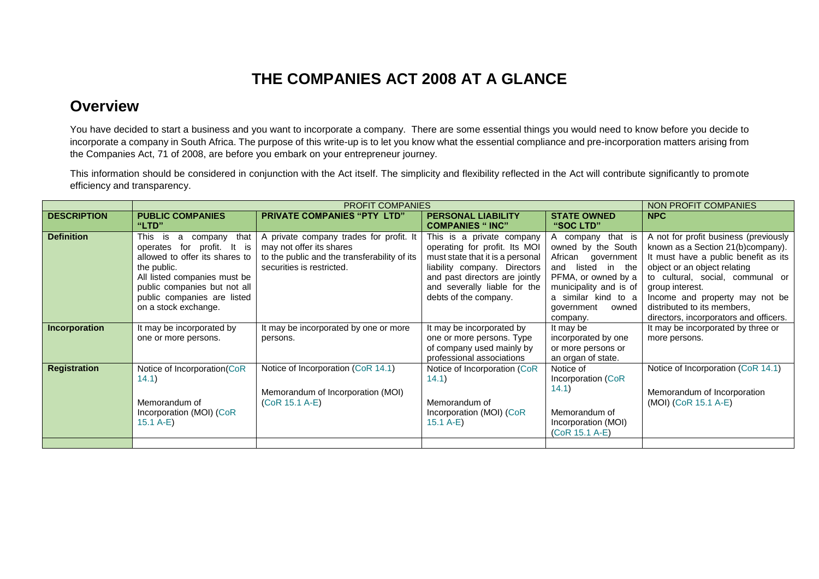## **THE COMPANIES ACT 2008 AT A GLANCE**

## **Overview**

You have decided to start a business and you want to incorporate a company. There are some essential things you would need to know before you decide to incorporate a company in South Africa. The purpose of this write-up is to let you know what the essential compliance and pre-incorporation matters arising from the Companies Act, 71 of 2008, are before you embark on your entrepreneur journey.

This information should be considered in conjunction with the Act itself. The simplicity and flexibility reflected in the Act will contribute significantly to promote efficiency and transparency.

|                     |                                                                                                                                                                                                                                                | NON PROFIT COMPANIES                                                                                                                             |                                                                                                                                                                                                                           |                                                                                                                                                                                               |                                                                                                                                                                                                                                                                                                                      |
|---------------------|------------------------------------------------------------------------------------------------------------------------------------------------------------------------------------------------------------------------------------------------|--------------------------------------------------------------------------------------------------------------------------------------------------|---------------------------------------------------------------------------------------------------------------------------------------------------------------------------------------------------------------------------|-----------------------------------------------------------------------------------------------------------------------------------------------------------------------------------------------|----------------------------------------------------------------------------------------------------------------------------------------------------------------------------------------------------------------------------------------------------------------------------------------------------------------------|
| <b>DESCRIPTION</b>  | <b>PUBLIC COMPANIES</b><br>"LTD"                                                                                                                                                                                                               | <b>PRIVATE COMPANIES "PTY LTD"</b>                                                                                                               | <b>PERSONAL LIABILITY</b><br><b>COMPANIES "INC"</b>                                                                                                                                                                       | <b>STATE OWNED</b><br>"SOC LTD"                                                                                                                                                               | <b>NPC</b>                                                                                                                                                                                                                                                                                                           |
| <b>Definition</b>   | This<br>is<br>that<br>company<br>a<br>for<br>profit. It is<br>operates<br>allowed to offer its shares to<br>the public.<br>All listed companies must be<br>public companies but not all<br>public companies are listed<br>on a stock exchange. | A private company trades for profit. It<br>may not offer its shares<br>to the public and the transferability of its<br>securities is restricted. | This is a private company<br>operating for profit. Its MOI<br>must state that it is a personal<br>liability company. Directors<br>and past directors are jointly<br>and severally liable for the<br>debts of the company. | A company that is<br>owned by the South<br>African government<br>and listed in the<br>PFMA, or owned by a<br>municipality and is of<br>a similar kind to a<br>government<br>owned<br>company. | A not for profit business (previously<br>known as a Section 21(b)company).<br>It must have a public benefit as its<br>object or an object relating<br>to cultural, social, communal or<br>group interest.<br>Income and property may not be<br>distributed to its members,<br>directors, incorporators and officers. |
| Incorporation       | It may be incorporated by<br>one or more persons.                                                                                                                                                                                              | It may be incorporated by one or more<br>persons.                                                                                                | It may be incorporated by<br>one or more persons. Type<br>of company used mainly by<br>professional associations                                                                                                          | It may be<br>incorporated by one<br>or more persons or<br>an organ of state.                                                                                                                  | It may be incorporated by three or<br>more persons.                                                                                                                                                                                                                                                                  |
| <b>Registration</b> | Notice of Incorporation(CoR<br>(14.1)<br>Memorandum of<br>Incorporation (MOI) (CoR<br>$15.1 A-E$                                                                                                                                               | Notice of Incorporation (CoR 14.1)<br>Memorandum of Incorporation (MOI)<br>(CoR 15.1 A-E)                                                        | Notice of Incorporation (CoR<br>(14.1)<br>Memorandum of<br>Incorporation (MOI) (CoR<br>$15.1 A-E$                                                                                                                         | Notice of<br>Incorporation (CoR<br>14.1)<br>Memorandum of<br>Incorporation (MOI)<br>(CoR 15.1 A-E)                                                                                            | Notice of Incorporation (CoR 14.1)<br>Memorandum of Incorporation<br>(MOI) (CoR 15.1 A-E)                                                                                                                                                                                                                            |
|                     |                                                                                                                                                                                                                                                |                                                                                                                                                  |                                                                                                                                                                                                                           |                                                                                                                                                                                               |                                                                                                                                                                                                                                                                                                                      |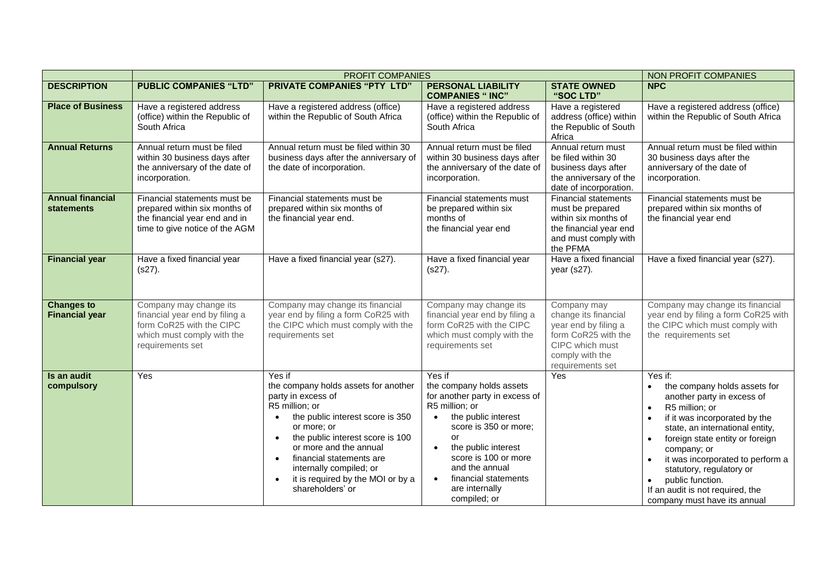|                                              | <b>PROFIT COMPANIES</b>                                                                                                                |                                                                                                                                                                                                                                                                                                                                                                             |                                                                                                                                                                                                                                                                                                   |                                                                                                                                              | NON PROFIT COMPANIES                                                                                                                                                                                                                                                                                                                                                                                                      |
|----------------------------------------------|----------------------------------------------------------------------------------------------------------------------------------------|-----------------------------------------------------------------------------------------------------------------------------------------------------------------------------------------------------------------------------------------------------------------------------------------------------------------------------------------------------------------------------|---------------------------------------------------------------------------------------------------------------------------------------------------------------------------------------------------------------------------------------------------------------------------------------------------|----------------------------------------------------------------------------------------------------------------------------------------------|---------------------------------------------------------------------------------------------------------------------------------------------------------------------------------------------------------------------------------------------------------------------------------------------------------------------------------------------------------------------------------------------------------------------------|
| <b>DESCRIPTION</b>                           | <b>PUBLIC COMPANIES "LTD"</b>                                                                                                          | <b>PRIVATE COMPANIES "PTY LTD"</b>                                                                                                                                                                                                                                                                                                                                          | <b>PERSONAL LIABILITY</b><br><b>COMPANIES " INC"</b>                                                                                                                                                                                                                                              | <b>STATE OWNED</b><br>"SOC LTD"                                                                                                              | <b>NPC</b>                                                                                                                                                                                                                                                                                                                                                                                                                |
| <b>Place of Business</b>                     | Have a registered address<br>(office) within the Republic of<br>South Africa                                                           | Have a registered address (office)<br>within the Republic of South Africa                                                                                                                                                                                                                                                                                                   | Have a registered address<br>(office) within the Republic of<br>South Africa                                                                                                                                                                                                                      | Have a registered<br>address (office) within<br>the Republic of South<br>Africa                                                              | Have a registered address (office)<br>within the Republic of South Africa                                                                                                                                                                                                                                                                                                                                                 |
| <b>Annual Returns</b>                        | Annual return must be filed<br>within 30 business days after<br>the anniversary of the date of<br>incorporation.                       | Annual return must be filed within 30<br>business days after the anniversary of<br>the date of incorporation.                                                                                                                                                                                                                                                               | Annual return must be filed<br>within 30 business days after<br>the anniversary of the date of<br>incorporation.                                                                                                                                                                                  | Annual return must<br>be filed within 30<br>business days after<br>the anniversary of the<br>date of incorporation.                          | Annual return must be filed within<br>30 business days after the<br>anniversary of the date of<br>incorporation.                                                                                                                                                                                                                                                                                                          |
| <b>Annual financial</b><br><b>statements</b> | Financial statements must be<br>prepared within six months of<br>the financial year end and in<br>time to give notice of the AGM       | Financial statements must be<br>prepared within six months of<br>the financial year end.                                                                                                                                                                                                                                                                                    | Financial statements must<br>be prepared within six<br>months of<br>the financial year end                                                                                                                                                                                                        | <b>Financial statements</b><br>must be prepared<br>within six months of<br>the financial year end<br>and must comply with<br>the PFMA        | Financial statements must be<br>prepared within six months of<br>the financial year end                                                                                                                                                                                                                                                                                                                                   |
| <b>Financial year</b>                        | Have a fixed financial year<br>$(s27)$ .                                                                                               | Have a fixed financial year (s27).                                                                                                                                                                                                                                                                                                                                          | Have a fixed financial year<br>$(s27)$ .                                                                                                                                                                                                                                                          | Have a fixed financial<br>year (s27).                                                                                                        | Have a fixed financial year (s27).                                                                                                                                                                                                                                                                                                                                                                                        |
| <b>Changes to</b><br><b>Financial year</b>   | Company may change its<br>financial year end by filing a<br>form CoR25 with the CIPC<br>which must comply with the<br>requirements set | Company may change its financial<br>year end by filing a form CoR25 with<br>the CIPC which must comply with the<br>requirements set                                                                                                                                                                                                                                         | Company may change its<br>financial year end by filing a<br>form CoR25 with the CIPC<br>which must comply with the<br>requirements set                                                                                                                                                            | Company may<br>change its financial<br>year end by filing a<br>form CoR25 with the<br>CIPC which must<br>comply with the<br>requirements set | Company may change its financial<br>year end by filing a form CoR25 with<br>the CIPC which must comply with<br>the requirements set                                                                                                                                                                                                                                                                                       |
| Is an audit<br>compulsory                    | Yes                                                                                                                                    | Yes if<br>the company holds assets for another<br>party in excess of<br>R5 million; or<br>the public interest score is 350<br>$\bullet$<br>or more; or<br>the public interest score is 100<br>$\bullet$<br>or more and the annual<br>financial statements are<br>$\bullet$<br>internally compiled; or<br>it is required by the MOI or by a<br>$\bullet$<br>shareholders' or | Yes if<br>the company holds assets<br>for another party in excess of<br>R5 million; or<br>the public interest<br>$\bullet$<br>score is 350 or more;<br>or<br>the public interest<br>$\bullet$<br>score is 100 or more<br>and the annual<br>financial statements<br>are internally<br>compiled; or | Yes                                                                                                                                          | Yes if:<br>the company holds assets for<br>another party in excess of<br>R5 million; or<br>$\bullet$<br>if it was incorporated by the<br>$\bullet$<br>state, an international entity,<br>foreign state entity or foreign<br>$\bullet$<br>company; or<br>it was incorporated to perform a<br>statutory, regulatory or<br>public function.<br>$\bullet$<br>If an audit is not required, the<br>company must have its annual |